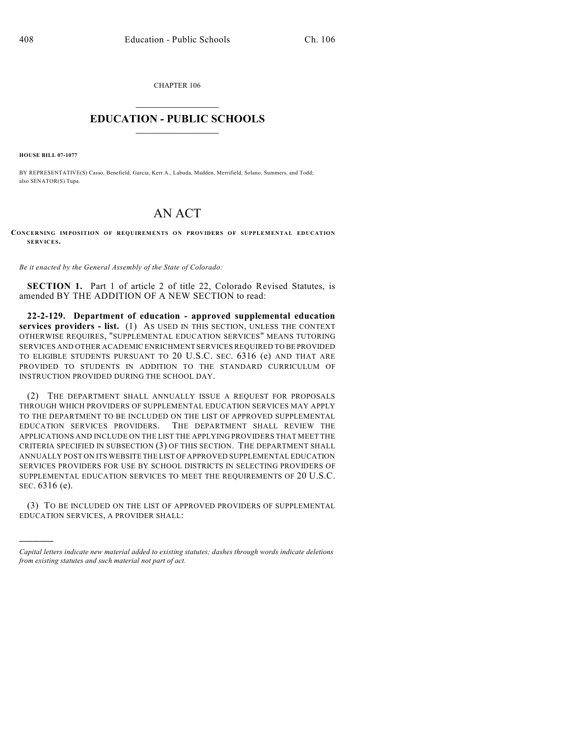CHAPTER 106  $\mathcal{L}_\text{max}$  . The set of the set of the set of the set of the set of the set of the set of the set of the set of the set of the set of the set of the set of the set of the set of the set of the set of the set of the set

## **EDUCATION - PUBLIC SCHOOLS**  $\_$   $\_$   $\_$   $\_$   $\_$   $\_$   $\_$   $\_$   $\_$

**HOUSE BILL 07-1077**

)))))

BY REPRESENTATIVE(S) Casso, Benefield, Garcia, Kerr A., Labuda, Madden, Merrifield, Solano, Summers, and Todd; also SENATOR(S) Tupa.

## AN ACT

**CONCERNING IMPOSITION OF REQUIREMENTS ON PROVIDERS OF SUPPLEMENTAL EDUCATION SERVICES.**

*Be it enacted by the General Assembly of the State of Colorado:*

**SECTION 1.** Part 1 of article 2 of title 22, Colorado Revised Statutes, is amended BY THE ADDITION OF A NEW SECTION to read:

**22-2-129. Department of education - approved supplemental education services providers - list.** (1) AS USED IN THIS SECTION, UNLESS THE CONTEXT OTHERWISE REQUIRES, "SUPPLEMENTAL EDUCATION SERVICES" MEANS TUTORING SERVICES AND OTHER ACADEMIC ENRICHMENT SERVICES REQUIRED TO BE PROVIDED TO ELIGIBLE STUDENTS PURSUANT TO 20 U.S.C. SEC. 6316 (e) AND THAT ARE PROVIDED TO STUDENTS IN ADDITION TO THE STANDARD CURRICULUM OF INSTRUCTION PROVIDED DURING THE SCHOOL DAY.

(2) THE DEPARTMENT SHALL ANNUALLY ISSUE A REQUEST FOR PROPOSALS THROUGH WHICH PROVIDERS OF SUPPLEMENTAL EDUCATION SERVICES MAY APPLY TO THE DEPARTMENT TO BE INCLUDED ON THE LIST OF APPROVED SUPPLEMENTAL EDUCATION SERVICES PROVIDERS. THE DEPARTMENT SHALL REVIEW THE APPLICATIONS AND INCLUDE ON THE LIST THE APPLYING PROVIDERS THAT MEET THE CRITERIA SPECIFIED IN SUBSECTION (3) OF THIS SECTION. THE DEPARTMENT SHALL ANNUALLY POST ON ITS WEBSITE THE LIST OF APPROVED SUPPLEMENTAL EDUCATION SERVICES PROVIDERS FOR USE BY SCHOOL DISTRICTS IN SELECTING PROVIDERS OF SUPPLEMENTAL EDUCATION SERVICES TO MEET THE REQUIREMENTS OF 20 U.S.C. SEC. 6316 (e).

(3) TO BE INCLUDED ON THE LIST OF APPROVED PROVIDERS OF SUPPLEMENTAL EDUCATION SERVICES, A PROVIDER SHALL:

*Capital letters indicate new material added to existing statutes; dashes through words indicate deletions from existing statutes and such material not part of act.*